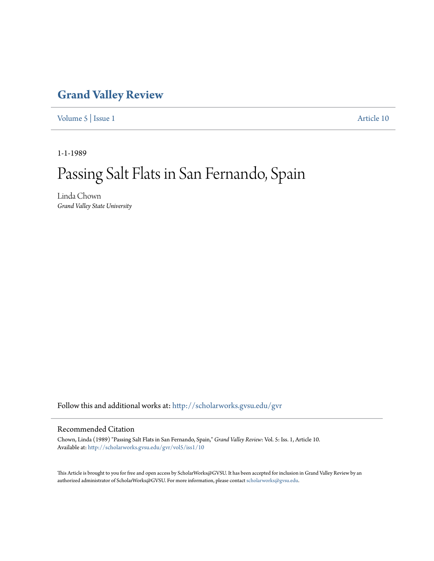## **[Grand Valley Review](http://scholarworks.gvsu.edu/gvr?utm_source=scholarworks.gvsu.edu%2Fgvr%2Fvol5%2Fiss1%2F10&utm_medium=PDF&utm_campaign=PDFCoverPages)**

[Volume 5](http://scholarworks.gvsu.edu/gvr/vol5?utm_source=scholarworks.gvsu.edu%2Fgvr%2Fvol5%2Fiss1%2F10&utm_medium=PDF&utm_campaign=PDFCoverPages) | [Issue 1](http://scholarworks.gvsu.edu/gvr/vol5/iss1?utm_source=scholarworks.gvsu.edu%2Fgvr%2Fvol5%2Fiss1%2F10&utm_medium=PDF&utm_campaign=PDFCoverPages) [Article 10](http://scholarworks.gvsu.edu/gvr/vol5/iss1/10?utm_source=scholarworks.gvsu.edu%2Fgvr%2Fvol5%2Fiss1%2F10&utm_medium=PDF&utm_campaign=PDFCoverPages)

1-1-1989

## Passing Salt Flats in San Fernando, Spain

Linda Chown *Grand Valley State University*

Follow this and additional works at: [http://scholarworks.gvsu.edu/gvr](http://scholarworks.gvsu.edu/gvr?utm_source=scholarworks.gvsu.edu%2Fgvr%2Fvol5%2Fiss1%2F10&utm_medium=PDF&utm_campaign=PDFCoverPages)

## Recommended Citation

Chown, Linda (1989) "Passing Salt Flats in San Fernando, Spain," *Grand Valley Review*: Vol. 5: Iss. 1, Article 10. Available at: [http://scholarworks.gvsu.edu/gvr/vol5/iss1/10](http://scholarworks.gvsu.edu/gvr/vol5/iss1/10?utm_source=scholarworks.gvsu.edu%2Fgvr%2Fvol5%2Fiss1%2F10&utm_medium=PDF&utm_campaign=PDFCoverPages)

This Article is brought to you for free and open access by ScholarWorks@GVSU. It has been accepted for inclusion in Grand Valley Review by an authorized administrator of ScholarWorks@GVSU. For more information, please contact [scholarworks@gvsu.edu.](mailto:scholarworks@gvsu.edu)